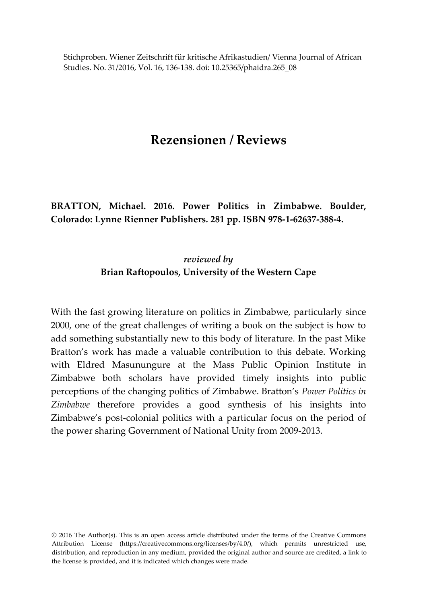Stichproben. Wiener Zeitschrift für kritische Afrikastudien/ Vienna Journal of African Studies. No. 31/2016, Vol. 16, 136-138. doi: 10.25365/phaidra.265\_08

## **Rezensionen / Reviews**

**BRATTON, Michael. 2016. Power Politics in Zimbabwe***.* **Boulder, Colorado: Lynne Rienner Publishers. 281 pp. ISBN 978-1-62637-388-4.**

## *reviewed by* **Brian Raftopoulos, University of the Western Cape**

With the fast growing literature on politics in Zimbabwe, particularly since 2000, one of the great challenges of writing a book on the subject is how to add something substantially new to this body of literature. In the past Mike Bratton's work has made a valuable contribution to this debate. Working with Eldred Masunungure at the Mass Public Opinion Institute in Zimbabwe both scholars have provided timely insights into public perceptions of the changing politics of Zimbabwe. Bratton's *Power Politics in Zimbabwe* therefore provides a good synthesis of his insights into Zimbabwe's post-colonial politics with a particular focus on the period of the power sharing Government of National Unity from 2009-2013.

© 2016 The Author(s). This is an open access article distributed under the terms of the Creative Commons Attribution License (https://creativecommons.org/licenses/by/4.0/), which permits unrestricted use, distribution, and reproduction in any medium, provided the original author and source are credited, a link to the license is provided, and it is indicated which changes were made.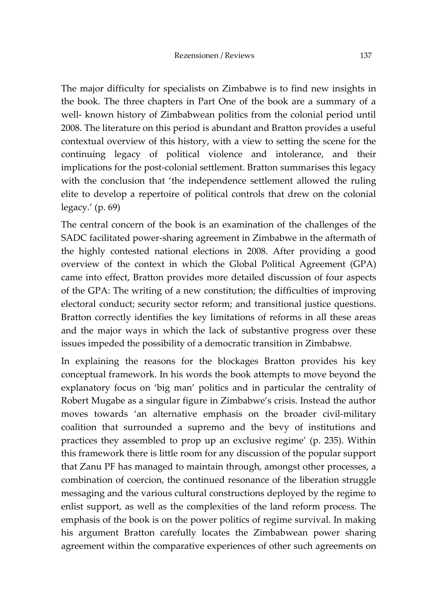The major difficulty for specialists on Zimbabwe is to find new insights in the book. The three chapters in Part One of the book are a summary of a well- known history of Zimbabwean politics from the colonial period until 2008. The literature on this period is abundant and Bratton provides a useful contextual overview of this history, with a view to setting the scene for the continuing legacy of political violence and intolerance, and their implications for the post-colonial settlement. Bratton summarises this legacy with the conclusion that 'the independence settlement allowed the ruling elite to develop a repertoire of political controls that drew on the colonial legacy.' (p. 69)

The central concern of the book is an examination of the challenges of the SADC facilitated power-sharing agreement in Zimbabwe in the aftermath of the highly contested national elections in 2008. After providing a good overview of the context in which the Global Political Agreement (GPA) came into effect, Bratton provides more detailed discussion of four aspects of the GPA: The writing of a new constitution; the difficulties of improving electoral conduct; security sector reform; and transitional justice questions. Bratton correctly identifies the key limitations of reforms in all these areas and the major ways in which the lack of substantive progress over these issues impeded the possibility of a democratic transition in Zimbabwe.

In explaining the reasons for the blockages Bratton provides his key conceptual framework. In his words the book attempts to move beyond the explanatory focus on 'big man' politics and in particular the centrality of Robert Mugabe as a singular figure in Zimbabwe's crisis. Instead the author moves towards 'an alternative emphasis on the broader civil-military coalition that surrounded a supremo and the bevy of institutions and practices they assembled to prop up an exclusive regime' (p. 235). Within this framework there is little room for any discussion of the popular support that Zanu PF has managed to maintain through, amongst other processes, a combination of coercion, the continued resonance of the liberation struggle messaging and the various cultural constructions deployed by the regime to enlist support, as well as the complexities of the land reform process. The emphasis of the book is on the power politics of regime survival. In making his argument Bratton carefully locates the Zimbabwean power sharing agreement within the comparative experiences of other such agreements on